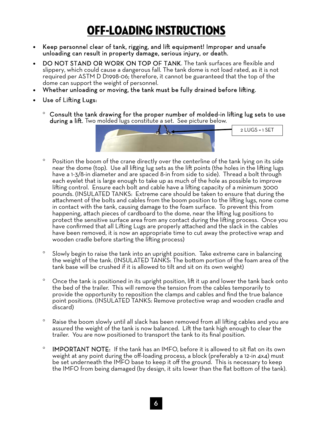## off-loading INSTRUCTIONS

- Keep personnel clear of tank, rigging, and lift equipment! Improper and unsafe unloading can result in property damage, serious injury, or death.
- DO NOT STAND OR WORK ON TOP OF TANK. The tank surfaces are flexible and slippery, which could cause a dangerous fall. The tank dome is not load rated, as it is not required per ASTM D D1998-06; therefore, it cannot be guaranteed that the top of the dome can support the weight of personnel.
- Whether unloading or moving, the tank must be fully drained before lifting.
- Use of Lifting Lugs:
	- $\degree$  Consult the tank drawing for the proper number of molded-in lifting lug sets to use during a lift. Two molded lugs constitute a set. See picture below.



- Position the boom of the crane directly over the centerline of the tank lying on its side near the dome (top). Use all lifting lug sets as the lift points (the holes in the lifting lugs have a 1-3/8-in diameter and are spaced 8-in from side to side). Thread a bolt through each eyelet that is large enough to take up as much of the hole as possible to improve lifting control. Ensure each bolt and cable have a lifting capacity of a minimum 3000 pounds. (INSULATED TANKS: Extreme care should be taken to ensure that during the attachment of the bolts and cables from the boom position to the lifting lugs, none come in contact with the tank, causing damage to the foam surface. To prevent this from happening, attach pieces of cardboard to the dome, near the lifting lug positions to protect the sensitive surface area from any contact during the lifting process. Once you have confirmed that all Lifting Lugs are properly attached and the slack in the cables have been removed, it is now an appropriate time to cut away the protective wrap and wooden cradle before starting the lifting process)
- <sup>o</sup> Slowly begin to raise the tank into an upright position. Take extreme care in balancing the weight of the tank. (INSULATED TANKS: The bottom portion of the foam area of the tank base will be crushed if it is allowed to tilt and sit on its own weight)
- Once the tank is positioned in its upright position, lift it up and lower the tank back onto the bed of the trailer. This will remove the tension from the cables temporarily to provide the opportunity to reposition the clamps and cables and find the true balance point positions. (INSULATED TANKS: Remove protective wrap and wooden cradle and discard)
- Raise the boom slowly until all slack has been removed from all lifting cables and you are assured the weight of the tank is now balanced. Lift the tank high enough to clear the trailer. You are now positioned to transport the tank to its final position.
- <sup>o</sup> IMPORTANT NOTE: If the tank has an IMFO, before it is allowed to sit flat on its own weight at any point during the off-loading process, a block (preferably a 12-in 4x4) must be set underneath the IMFO base to keep it off the ground. This is necessary to keep the IMFO from being damaged (by design, it sits lower than the flat bottom of the tank).